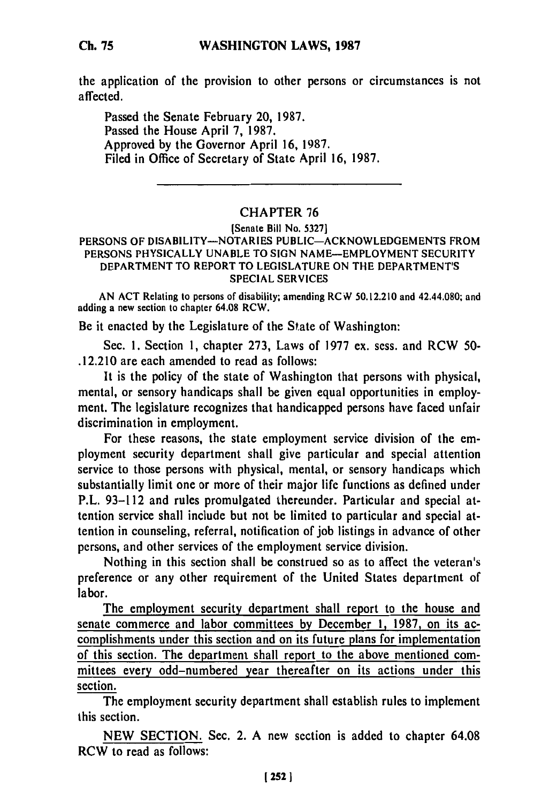## **WASHINGTON LAWS, 1987**

the application of the provision to other persons or circumstances is not affected.

Passed the Senate February 20, **1987.** Passed the House April **7, 1987.** Approved **by** the Governor April **16, 1987.** Filed in Office of Secretary of State April **16, 1987.**

## CHAPTER **76**

### (Senate Bill No. **5327]**

#### **PERSONS** OF DISABILITY-NOTARIES **PUBLIC-ACKNOWLEDGEMENTS** FROM **PERSONS** PHYSICALLY **UNABLE** TO **SIGN NAME-EMPLOYMENT** SECURITY DEPARTMENT TO REPORT TO **LEGISLATURE ON** THE DEPARTMENT'S **SPECIAL SERVICES**

**AN ACT** Relating to persons of disability; amending RCiV **50.12.210** and 42.44.080; and adding a new section to chapter 64.08 RCW.

Be it enacted **by** the Legislature of the State of Washington:

Sec. **1.** Section **1,** chapter **273,** Laws of **1977** ex. sess. and RCW **50-** .12.210 are each amended to read as follows:

It is the policy of the state of Washington that persons with physical, mental, or sensory handicaps shall be given equal opportunities in employment. The legislature recognizes that handicapped persons have faced unfair discrimination in employment.

For these reasons, the state employment service division of the employment security department shall give particular and special attention service to those persons with physical, mental, or sensory handicaps which substantially limit one or more of their major life functions as defined under P.L. **93-112** and rules promulgated thereunder. Particular and special attention service shall include but not be limited to particular and special attention in counseling, referral, notification of **job** listings in advance of other persons, and other services of the employment service division.

Nothing in this section shall be construed so as to affect the veteran's preference or any other requirement of the United States department of labor.

The employment security department shall report to the house and senate commerce and labor committees **by** December **1, 1987,** on its accomplishments under this section and on its future plans for implementation of this section. The department shall report to the above mentioned committees every odd-numbered year thereafter on its actions under this section.

The employment security department shall establish rules to implement this section.

**NEW SECTION.** Sec. 2. **A** new section is added to chapter 64.08 RCW to read as follows: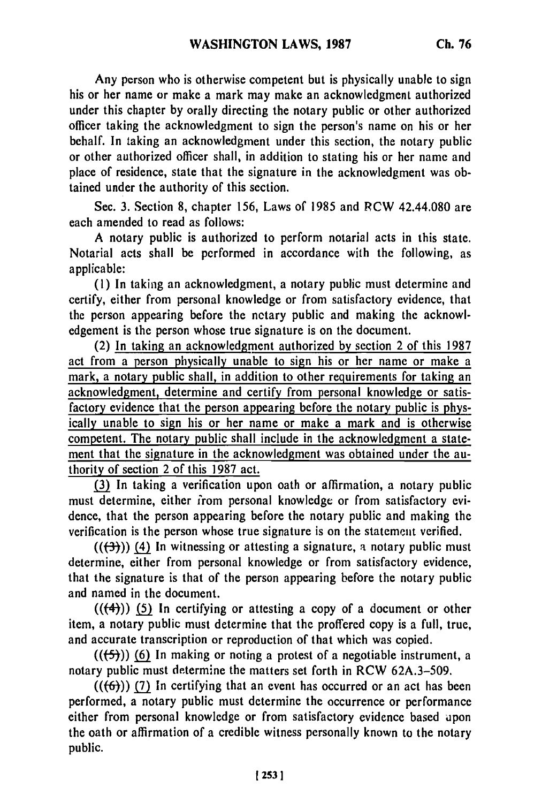Any person who is otherwise competent but is physically unable to sign his or her name or make a mark may make an acknowledgment authorized under this chapter **by** orally directing the notary public or other authorized officer taking the acknowledgment to sign the person's name on his or her behalf. In taking an acknowledgment under this section, the notary public or other authorized officer shall, in addition to stating his or her name and place of residence, state that the signature in the acknowledgment was obtained under the authority of this section.

Sec. **3.** Section **8,** chapter **156,** Laws of **1985** and RCW 42.44.080 are each amended to read as follows:

**A** notary public is authorized to perform notarial acts in this state. Notarial acts shall be performed in accordance with the following, as applicable:

**(1)** In taking an acknowledgment, a notary public must determine and certify, either from personal knowledge or from satisfactory evidence, that the person appearing before the netary public and making the acknowledgement is the person whose true signature is on the document.

(2) In taking an acknowledgment authorized **by** section 2 of this **1987** act from a person physically unable to sign his or her name or make a mark, a notary public shall, in addition to other requirements for taking an acknowledgment, determine and certify from personal knowledge or satisfactory evidence that the person appearing before the notary public is physically unable to sign his or her name or make a mark and is otherwise competent. The notary public shall include in the acknowledgment a statement that the signature in the acknowledgment was obtained under the authority of section 2 of this **1987** act.

**(3)** In taking a verification upon oath or affirmation, a notary public must determine, either irom personal knowledge or from satisfactory evidence, that the person appearing before the notary public and making the verification is the person whose true signature is on the statement verified.

**(((-3-))) (4)** In witnessing or attesting a signature, a notary public must determine, either from personal knowledge or from satisfactory evidence, that the signature is that of the person appearing before the notary public and named in the document.

**(((4-)) In** certifying or attesting a copy of a document or **other** item, a notary public must determine that the proffered copy is a full, true, and accurate transcription or reproduction of that which was copied.

**(((5))) (6)** In making or noting a protest of a negotiable instrument, a notary public must determine the matters set forth in RCW **62A.3-509.**

**(((6))) (7)** In certifying that an event has occurred or an act has been performed, a notary public must determine the occurrence or performance either from personal knowledge or from satisfactory evidence based upon the oath or affirmation of a credible witness personally known to the notary public.